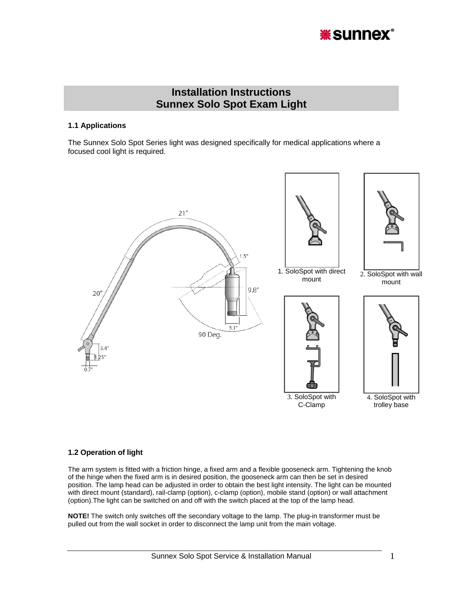

# **Installation Instructions Sunnex Solo Spot Exam Light**

#### **1.1 Applications**

The Sunnex Solo Spot Series light was designed specifically for medical applications where a focused cool light is required.



#### **1.2 Operation of light**

The arm system is fitted with a friction hinge, a fixed arm and a flexible gooseneck arm. Tightening the knob of the hinge when the fixed arm is in desired position, the gooseneck arm can then be set in desired position. The lamp head can be adjusted in order to obtain the best light intensity. The light can be mounted with direct mount (standard), rail-clamp (option), c-clamp (option), mobile stand (option) or wall attachment (option).The light can be switched on and off with the switch placed at the top of the lamp head.

**NOTE!** The switch only switches off the secondary voltage to the lamp. The plug-in transformer must be pulled out from the wall socket in order to disconnect the lamp unit from the main voltage.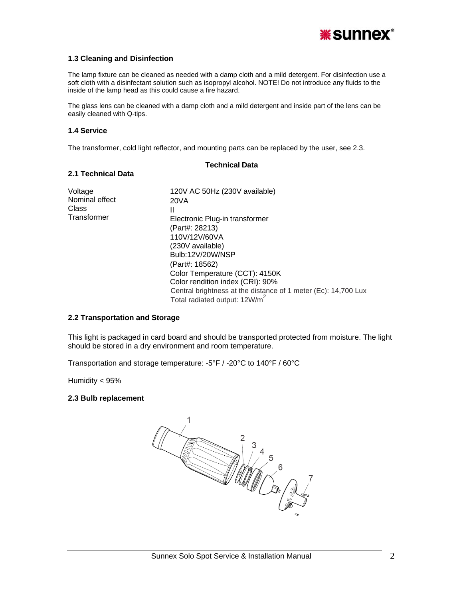

## **1.3 Cleaning and Disinfection**

The lamp fixture can be cleaned as needed with a damp cloth and a mild detergent. For disinfection use a soft cloth with a disinfectant solution such as isopropyl alcohol. NOTE! Do not introduce any fluids to the inside of the lamp head as this could cause a fire hazard.

The glass lens can be cleaned with a damp cloth and a mild detergent and inside part of the lens can be easily cleaned with Q-tips.

**Technical Data** 

#### **1.4 Service**

The transformer, cold light reflector, and mounting parts can be replaced by the user, see 2.3.

| 2.1 Technical Data                                |                                                                                                                                                                                                                                                                                                                                                                |
|---------------------------------------------------|----------------------------------------------------------------------------------------------------------------------------------------------------------------------------------------------------------------------------------------------------------------------------------------------------------------------------------------------------------------|
| Voltage<br>Nominal effect<br>Class<br>Transformer | 120V AC 50Hz (230V available)<br>20VA<br>Ш<br>Electronic Plug-in transformer<br>(Part#: 28213)<br>110V/12V/60VA<br>(230V available)<br>Bulb:12V/20W/NSP<br>(Part#: 18562)<br>Color Temperature (CCT): 4150K<br>Color rendition index (CRI): 90%<br>Central brightness at the distance of 1 meter (Ec): 14,700 Lux<br>Total radiated output: 12W/m <sup>2</sup> |

#### **2.2 Transportation and Storage**

This light is packaged in card board and should be transported protected from moisture. The light should be stored in a dry environment and room temperature.

Transportation and storage temperature: -5°F / -20°C to 140°F / 60°C

Humidity < 95%

#### **2.3 Bulb replacement**

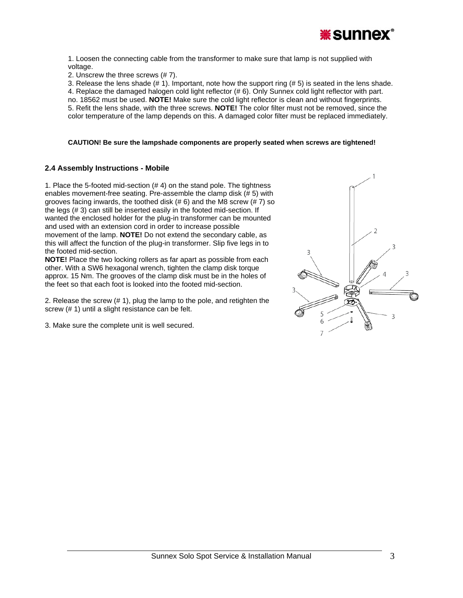

1. Loosen the connecting cable from the transformer to make sure that lamp is not supplied with voltage.

2. Unscrew the three screws (# 7).

3. Release the lens shade  $(# 1)$ . Important, note how the support ring  $(# 5)$  is seated in the lens shade. 4. Replace the damaged halogen cold light reflector (# 6). Only Sunnex cold light reflector with part. no. 18562 must be used. **NOTE!** Make sure the cold light reflector is clean and without fingerprints. 5. Refit the lens shade, with the three screws. **NOTE!** The color filter must not be removed, since the color temperature of the lamp depends on this. A damaged color filter must be replaced immediately.

#### **CAUTION! Be sure the lampshade components are properly seated when screws are tightened!**

## **2.4 Assembly Instructions - Mobile**

1. Place the 5-footed mid-section (# 4) on the stand pole. The tightness enables movement-free seating. Pre-assemble the clamp disk (# 5) with grooves facing inwards, the toothed disk (# 6) and the M8 screw (# 7) so the legs (# 3) can still be inserted easily in the footed mid-section. If wanted the enclosed holder for the plug-in transformer can be mounted and used with an extension cord in order to increase possible movement of the lamp. **NOTE!** Do not extend the secondary cable, as this will affect the function of the plug-in transformer. Slip five legs in to the footed mid-section.

**NOTE!** Place the two locking rollers as far apart as possible from each other. With a SW6 hexagonal wrench, tighten the clamp disk torque approx. 15 Nm. The grooves of the clamp disk must be in the holes of the feet so that each foot is looked into the footed mid-section.

2. Release the screw (# 1), plug the lamp to the pole, and retighten the screw (# 1) until a slight resistance can be felt.

3. Make sure the complete unit is well secured.

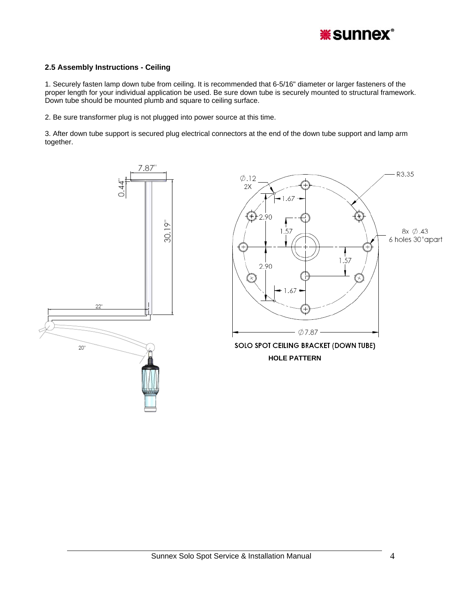

## **2.5 Assembly Instructions - Ceiling**

1. Securely fasten lamp down tube from ceiling. It is recommended that 6-5/16" diameter or larger fasteners of the proper length for your individual application be used. Be sure down tube is securely mounted to structural framework. Down tube should be mounted plumb and square to ceiling surface.

2. Be sure transformer plug is not plugged into power source at this time.

3. After down tube support is secured plug electrical connectors at the end of the down tube support and lamp arm together.

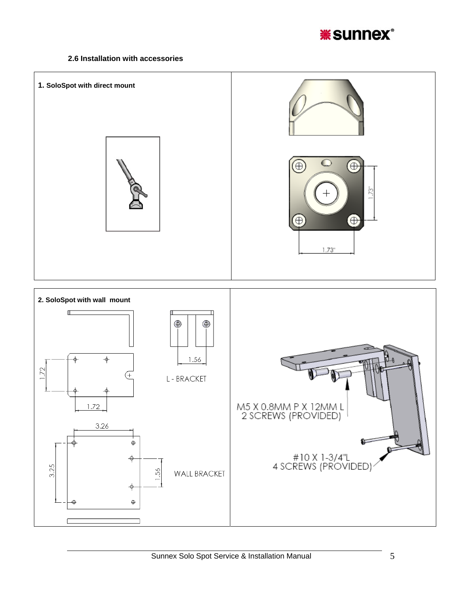

# **2.6 Installation with accessories**

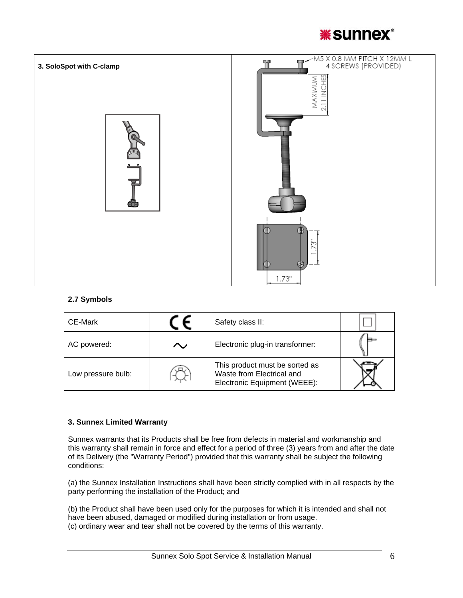



# **2.7 Symbols**

| CE-Mark            |    | Safety class II:                                                                            |  |
|--------------------|----|---------------------------------------------------------------------------------------------|--|
| AC powered:        | Λ. | Electronic plug-in transformer:                                                             |  |
| Low pressure bulb: |    | This product must be sorted as<br>Waste from Electrical and<br>Electronic Equipment (WEEE): |  |

## **3. Sunnex Limited Warranty**

Sunnex warrants that its Products shall be free from defects in material and workmanship and this warranty shall remain in force and effect for a period of three (3) years from and after the date of its Delivery (the "Warranty Period") provided that this warranty shall be subject the following conditions:

(a) the Sunnex Installation Instructions shall have been strictly complied with in all respects by the party performing the installation of the Product; and

(b) the Product shall have been used only for the purposes for which it is intended and shall not have been abused, damaged or modified during installation or from usage. (c) ordinary wear and tear shall not be covered by the terms of this warranty.